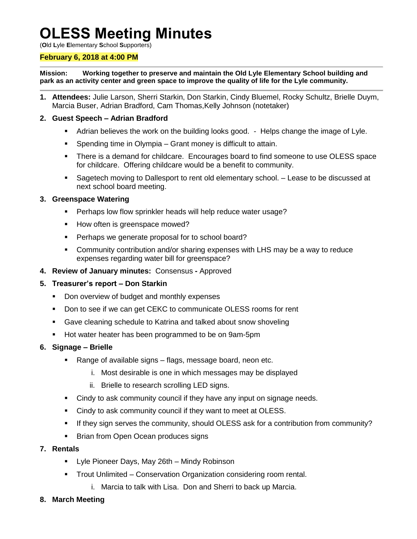# **OLESS Meeting Minutes**

(**O**ld **L**yle **E**lementary **S**chool **S**upporters)

#### **February 6, 2018 at 4:00 PM**

**Mission: Working together to preserve and maintain the Old Lyle Elementary School building and park as an activity center and green space to improve the quality of life for the Lyle community.**

**1. Attendees:** Julie Larson, Sherri Starkin, Don Starkin, Cindy Bluemel, Rocky Schultz, Brielle Duym, Marcia Buser, Adrian Bradford, Cam Thomas,Kelly Johnson (notetaker)

#### **2. Guest Speech – Adrian Bradford**

- Adrian believes the work on the building looks good. Helps change the image of Lyle.
- Spending time in Olympia Grant money is difficult to attain.
- There is a demand for childcare. Encourages board to find someone to use OLESS space for childcare. Offering childcare would be a benefit to community.
- Sagetech moving to Dallesport to rent old elementary school. Lease to be discussed at next school board meeting.

#### **3. Greenspace Watering**

- **Perhaps low flow sprinkler heads will help reduce water usage?**
- How often is greenspace mowed?
- **Perhaps we generate proposal for to school board?**
- Community contribution and/or sharing expenses with LHS may be a way to reduce expenses regarding water bill for greenspace?
- **4. Review of January minutes:** Consensus **-** Approved
- **5. Treasurer's report – Don Starkin**
	- Don overview of budget and monthly expenses
	- Don to see if we can get CEKC to communicate OLESS rooms for rent
	- Gave cleaning schedule to Katrina and talked about snow shoveling
	- **Hot water heater has been programmed to be on 9am-5pm**
- **6. Signage – Brielle**
	- Range of available signs flags, message board, neon etc.
		- i. Most desirable is one in which messages may be displayed
		- ii. Brielle to research scrolling LED signs.
	- Cindy to ask community council if they have any input on signage needs.
	- Cindy to ask community council if they want to meet at OLESS.
	- If they sign serves the community, should OLESS ask for a contribution from community?
	- **Brian from Open Ocean produces signs**
- **7. Rentals**
	- **-** Lyle Pioneer Days, May 26th Mindy Robinson
	- Trout Unlimited Conservation Organization considering room rental.
		- i. Marcia to talk with Lisa. Don and Sherri to back up Marcia.
- **8. March Meeting**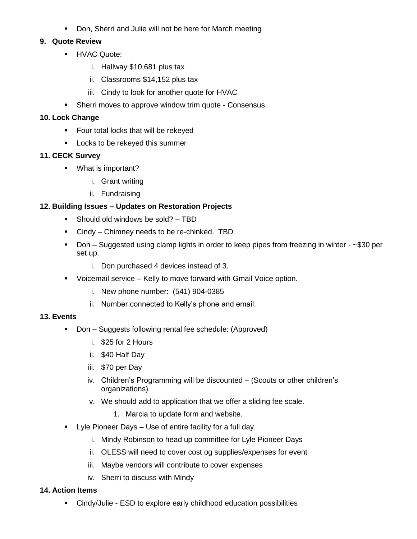**Don, Sherri and Julie will not be here for March meeting** 

#### **9. Quote Review**

- **HVAC Quote:** 
	- i. Hallway \$10,681 plus tax
	- ii. Classrooms \$14,152 plus tax
	- iii. Cindy to look for another quote for HVAC
- **Sherri moves to approve window trim quote Consensus**

#### **10. Lock Change**

- **Figure 1** Four total locks that will be rekeyed
- **Locks to be rekeyed this summer**

#### **11. CECK Survey**

- **What is important?** 
	- i. Grant writing
	- ii. Fundraising

## **12. Building Issues – Updates on Restoration Projects**

- Should old windows be sold? TBD
- Cindy Chimney needs to be re-chinked. TBD
- Don Suggested using clamp lights in order to keep pipes from freezing in winter ~\$30 per set up.
	- i. Don purchased 4 devices instead of 3.
- Voicemail service Kelly to move forward with Gmail Voice option.
	- i. New phone number: (541) 904-0385
	- ii. Number connected to Kelly's phone and email.

## **13. Events**

- Don Suggests following rental fee schedule: (Approved)
	- i. \$25 for 2 Hours
	- ii. \$40 Half Day
	- iii. \$70 per Day
	- iv. Children's Programming will be discounted (Scouts or other children's organizations)
	- v. We should add to application that we offer a sliding fee scale.
		- 1. Marcia to update form and website.
- **•** Lyle Pioneer Days Use of entire facility for a full day.
	- i. Mindy Robinson to head up committee for Lyle Pioneer Days
	- ii. OLESS will need to cover cost og supplies/expenses for event
	- iii. Maybe vendors will contribute to cover expenses
	- iv. Sherri to discuss with Mindy

#### **14. Action Items**

Cindy/Julie - ESD to explore early childhood education possibilities